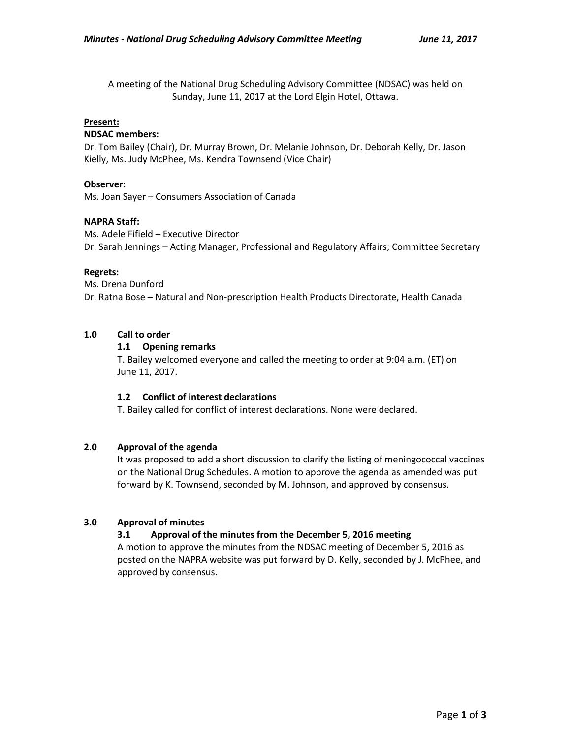A meeting of the National Drug Scheduling Advisory Committee (NDSAC) was held on Sunday, June 11, 2017 at the Lord Elgin Hotel, Ottawa.

### **Present:**

### **NDSAC members:**

Dr. Tom Bailey (Chair), Dr. Murray Brown, Dr. Melanie Johnson, Dr. Deborah Kelly, Dr. Jason Kielly, Ms. Judy McPhee, Ms. Kendra Townsend (Vice Chair)

### **Observer:**

Ms. Joan Sayer – Consumers Association of Canada

### **NAPRA Staff:**

Ms. Adele Fifield – Executive Director Dr. Sarah Jennings – Acting Manager, Professional and Regulatory Affairs; Committee Secretary

### **Regrets:**

Ms. Drena Dunford Dr. Ratna Bose – Natural and Non-prescription Health Products Directorate, Health Canada

## **1.0 Call to order**

## **1.1 Opening remarks**

T. Bailey welcomed everyone and called the meeting to order at 9:04 a.m. (ET) on June 11, 2017.

## **1.2 Conflict of interest declarations**

T. Bailey called for conflict of interest declarations. None were declared.

## **2.0 Approval of the agenda**

It was proposed to add a short discussion to clarify the listing of meningococcal vaccines on the National Drug Schedules. A motion to approve the agenda as amended was put forward by K. Townsend, seconded by M. Johnson, and approved by consensus.

# **3.0 Approval of minutes**

# **3.1 Approval of the minutes from the December 5, 2016 meeting**

A motion to approve the minutes from the NDSAC meeting of December 5, 2016 as posted on the NAPRA website was put forward by D. Kelly, seconded by J. McPhee, and approved by consensus.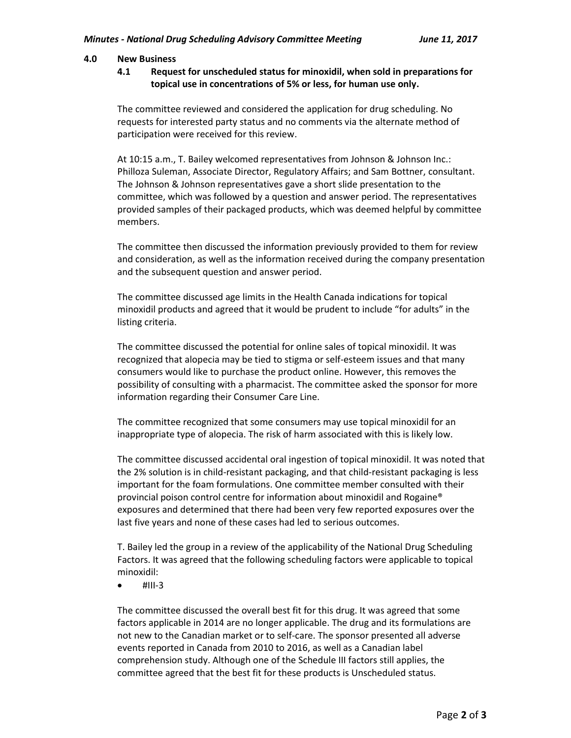### **4.0 New Business**

**4.1 Request for unscheduled status for minoxidil, when sold in preparations for topical use in concentrations of 5% or less, for human use only.**

The committee reviewed and considered the application for drug scheduling. No requests for interested party status and no comments via the alternate method of participation were received for this review.

At 10:15 a.m., T. Bailey welcomed representatives from Johnson & Johnson Inc.: Philloza Suleman, Associate Director, Regulatory Affairs; and Sam Bottner, consultant. The Johnson & Johnson representatives gave a short slide presentation to the committee, which was followed by a question and answer period. The representatives provided samples of their packaged products, which was deemed helpful by committee members.

The committee then discussed the information previously provided to them for review and consideration, as well as the information received during the company presentation and the subsequent question and answer period.

The committee discussed age limits in the Health Canada indications for topical minoxidil products and agreed that it would be prudent to include "for adults" in the listing criteria.

The committee discussed the potential for online sales of topical minoxidil. It was recognized that alopecia may be tied to stigma or self-esteem issues and that many consumers would like to purchase the product online. However, this removes the possibility of consulting with a pharmacist. The committee asked the sponsor for more information regarding their Consumer Care Line.

The committee recognized that some consumers may use topical minoxidil for an inappropriate type of alopecia. The risk of harm associated with this is likely low.

The committee discussed accidental oral ingestion of topical minoxidil. It was noted that the 2% solution is in child-resistant packaging, and that child-resistant packaging is less important for the foam formulations. One committee member consulted with their provincial poison control centre for information about minoxidil and Rogaine® exposures and determined that there had been very few reported exposures over the last five years and none of these cases had led to serious outcomes.

T. Bailey led the group in a review of the applicability of the National Drug Scheduling Factors. It was agreed that the following scheduling factors were applicable to topical minoxidil:

 $\bullet$  #III-3

The committee discussed the overall best fit for this drug. It was agreed that some factors applicable in 2014 are no longer applicable. The drug and its formulations are not new to the Canadian market or to self-care. The sponsor presented all adverse events reported in Canada from 2010 to 2016, as well as a Canadian label comprehension study. Although one of the Schedule III factors still applies, the committee agreed that the best fit for these products is Unscheduled status.